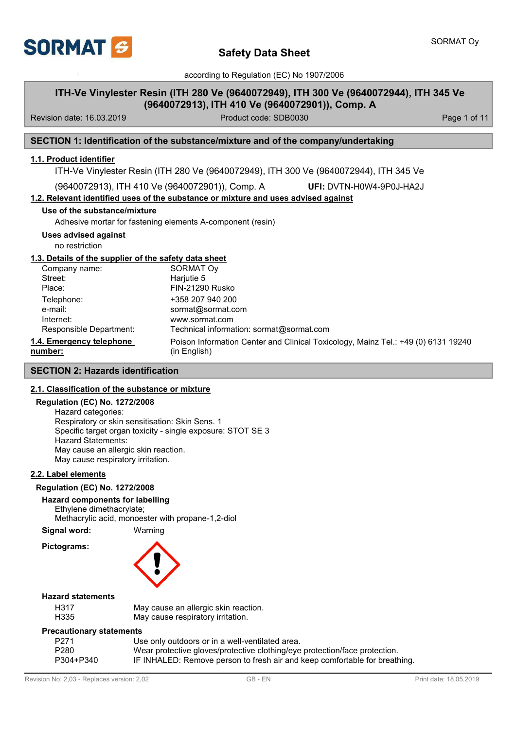

## **ITH-Ve Vinylester Resin (ITH 280 Ve (9640072949), ITH 300 Ve (9640072944), ITH 345 Ve (9640072913), ITH 410 Ve (9640072901)), Comp. A**

Revision date: 16.03.2019 **Product code: SDB0030** Page 1 of 11

### **SECTION 1: Identification of the substance/mixture and of the company/undertaking**

### **1.1. Product identifier**

ITH-Ve Vinylester Resin (ITH 280 Ve (9640072949), ITH 300 Ve (9640072944), ITH 345 Ve

(9640072913), ITH 410 Ve (9640072901)), Comp. A

**UFI:** DVTN-H0W4-9P0J-HA2J

### **1.2. Relevant identified uses of the substance or mixture and uses advised against**

### **Use of the substance/mixture**

Adhesive mortar for fastening elements A-component (resin)

**Uses advised against**

no restriction

### **1.3. Details of the supplier of the safety data sheet**

| Company name:                       | <b>SORMAT Oy</b>                                                                                  |
|-------------------------------------|---------------------------------------------------------------------------------------------------|
| Street:                             | Harjutie 5                                                                                        |
| Place:                              | FIN-21290 Rusko                                                                                   |
| Telephone:                          | +358 207 940 200                                                                                  |
| e-mail:                             | sormat@sormat.com                                                                                 |
| Internet:                           | www.sormat.com                                                                                    |
| Responsible Department:             | Technical information: sormat@sormat.com                                                          |
| 1.4. Emergency telephone<br>number: | Poison Information Center and Clinical Toxicology, Mainz Tel.: +49 (0) 6131 19240<br>(in English) |

### **SECTION 2: Hazards identification**

### **2.1. Classification of the substance or mixture**

### **Regulation (EC) No. 1272/2008**

Hazard categories: Respiratory or skin sensitisation: Skin Sens. 1 Specific target organ toxicity - single exposure: STOT SE 3 Hazard Statements: May cause an allergic skin reaction. May cause respiratory irritation.

## **2.2. Label elements**

### **Regulation (EC) No. 1272/2008**

### **Hazard components for labelling**

Ethylene dimethacrylate;

Methacrylic acid, monoester with propane-1,2-diol

**Signal word:** Warning

### **Hazard statements**

|   | ÷,       |
|---|----------|
| ۰ | ٠<br>43. |

**Pictograms:**

May cause an allergic skin reaction. May cause respiratory irritation.

### **Precautionary statements**

| $\frac{1}{2}$ |                                                                            |
|---------------|----------------------------------------------------------------------------|
| P271          | Use only outdoors or in a well-ventilated area.                            |
| P280          | Wear protective gloves/protective clothing/eye protection/face protection. |
| P304+P340     | IF INHALED: Remove person to fresh air and keep comfortable for breathing. |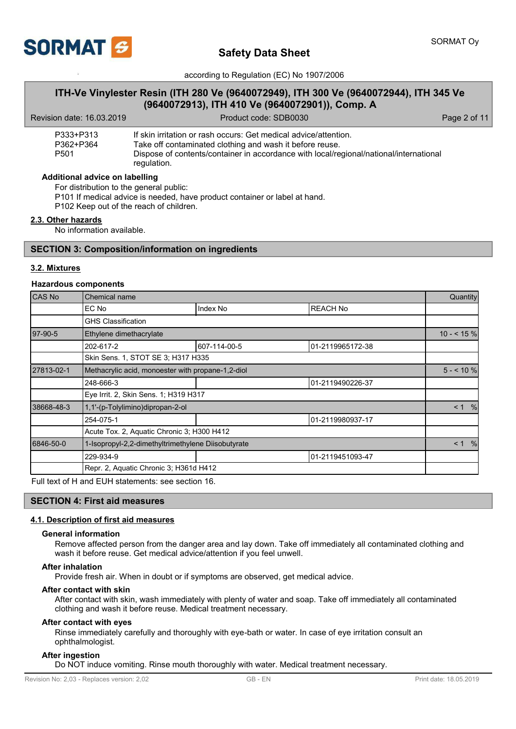

## **ITH-Ve Vinylester Resin (ITH 280 Ve (9640072949), ITH 300 Ve (9640072944), ITH 345 Ve (9640072913), ITH 410 Ve (9640072901)), Comp. A**

| Revision date: 16.03.2019                  | Product code: SDB0030                                                                                                                                                                                                                 | Page 2 of 11 |
|--------------------------------------------|---------------------------------------------------------------------------------------------------------------------------------------------------------------------------------------------------------------------------------------|--------------|
| P333+P313<br>P362+P364<br>P <sub>501</sub> | If skin irritation or rash occurs: Get medical advice/attention.<br>Take off contaminated clothing and wash it before reuse.<br>Dispose of contents/container in accordance with local/regional/national/international<br>regulation. |              |

#### **Additional advice on labelling**

For distribution to the general public:

P101 If medical advice is needed, have product container or label at hand.

P102 Keep out of the reach of children.

### **2.3. Other hazards**

No information available.

### **SECTION 3: Composition/information on ingredients**

### **3.2. Mixtures**

### **Hazardous components**

| CAS No     | <b>Chemical name</b>                               |              |                  |                           |  |
|------------|----------------------------------------------------|--------------|------------------|---------------------------|--|
|            | EC No                                              | Index No     | <b>REACH No</b>  |                           |  |
|            | <b>GHS Classification</b>                          |              |                  |                           |  |
| 97-90-5    | Ethylene dimethacrylate                            |              |                  | $10 - 59$                 |  |
|            | 202-617-2                                          | 607-114-00-5 | 01-2119965172-38 |                           |  |
|            | Skin Sens. 1, STOT SE 3; H317 H335                 |              |                  |                           |  |
| 27813-02-1 | Methacrylic acid, monoester with propane-1,2-diol  |              |                  |                           |  |
|            | 248-666-3                                          |              | 01-2119490226-37 |                           |  |
|            | Eye Irrit. 2, Skin Sens. 1; H319 H317              |              |                  |                           |  |
| 38668-48-3 | 1,1'-(p-Tolylimino)dipropan-2-ol                   |              |                  |                           |  |
|            | 254-075-1                                          |              | 01-2119980937-17 |                           |  |
|            | Acute Tox. 2, Aquatic Chronic 3; H300 H412         |              |                  |                           |  |
| 6846-50-0  | 1-Isopropyl-2,2-dimethyltrimethylene Diisobutyrate |              |                  | $\leq 1$<br>$\frac{0}{6}$ |  |
|            | 229-934-9                                          |              | 01-2119451093-47 |                           |  |
|            | Repr. 2, Aquatic Chronic 3; H361d H412             |              |                  |                           |  |

Full text of H and EUH statements: see section 16.

### **SECTION 4: First aid measures**

### **4.1. Description of first aid measures**

#### **General information**

Remove affected person from the danger area and lay down. Take off immediately all contaminated clothing and wash it before reuse. Get medical advice/attention if you feel unwell.

#### **After inhalation**

Provide fresh air. When in doubt or if symptoms are observed, get medical advice.

#### **After contact with skin**

After contact with skin, wash immediately with plenty of water and soap. Take off immediately all contaminated clothing and wash it before reuse. Medical treatment necessary.

#### **After contact with eyes**

Rinse immediately carefully and thoroughly with eye-bath or water. In case of eye irritation consult an ophthalmologist.

#### **After ingestion**

Do NOT induce vomiting. Rinse mouth thoroughly with water. Medical treatment necessary.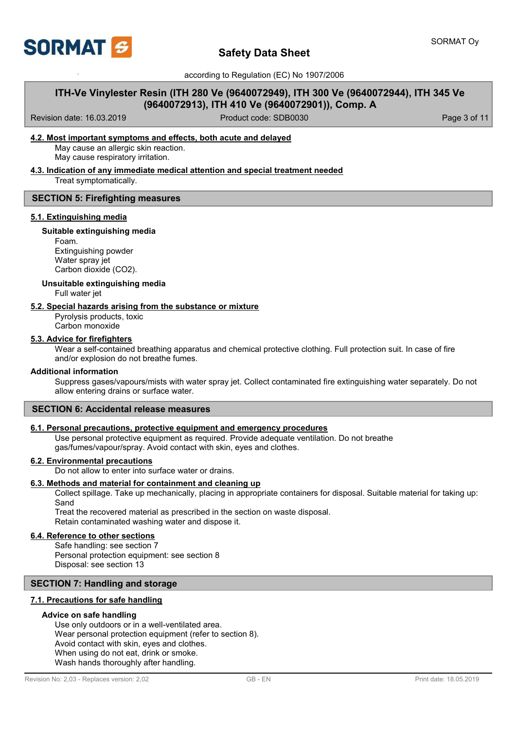

## **ITH-Ve Vinylester Resin (ITH 280 Ve (9640072949), ITH 300 Ve (9640072944), ITH 345 Ve (9640072913), ITH 410 Ve (9640072901)), Comp. A**

Revision date: 16.03.2019 **Product code: SDB0030** Product code: SDB0030 **Page 3 of 11** 

### **4.2. Most important symptoms and effects, both acute and delayed**

May cause an allergic skin reaction. May cause respiratory irritation.

### **4.3. Indication of any immediate medical attention and special treatment needed**

Treat symptomatically.

### **SECTION 5: Firefighting measures**

### **5.1. Extinguishing media**

### **Suitable extinguishing media**

Foam. Extinguishing powder Water spray jet Carbon dioxide (CO2).

#### **Unsuitable extinguishing media**

Full water jet

### **5.2. Special hazards arising from the substance or mixture**

Pyrolysis products, toxic Carbon monoxide

### **5.3. Advice for firefighters**

Wear a self-contained breathing apparatus and chemical protective clothing. Full protection suit. In case of fire and/or explosion do not breathe fumes.

#### **Additional information**

Suppress gases/vapours/mists with water spray jet. Collect contaminated fire extinguishing water separately. Do not allow entering drains or surface water.

### **SECTION 6: Accidental release measures**

### **6.1. Personal precautions, protective equipment and emergency procedures**

Use personal protective equipment as required. Provide adequate ventilation. Do not breathe gas/fumes/vapour/spray. Avoid contact with skin, eyes and clothes.

#### **6.2. Environmental precautions**

Do not allow to enter into surface water or drains.

#### **6.3. Methods and material for containment and cleaning up**

Collect spillage. Take up mechanically, placing in appropriate containers for disposal. Suitable material for taking up: Sand

Treat the recovered material as prescribed in the section on waste disposal. Retain contaminated washing water and dispose it.

### **6.4. Reference to other sections**

Safe handling: see section 7 Personal protection equipment: see section 8 Disposal: see section 13

### **SECTION 7: Handling and storage**

### **7.1. Precautions for safe handling**

### **Advice on safe handling**

Use only outdoors or in a well-ventilated area. Wear personal protection equipment (refer to section 8). Avoid contact with skin, eyes and clothes. When using do not eat, drink or smoke. Wash hands thoroughly after handling.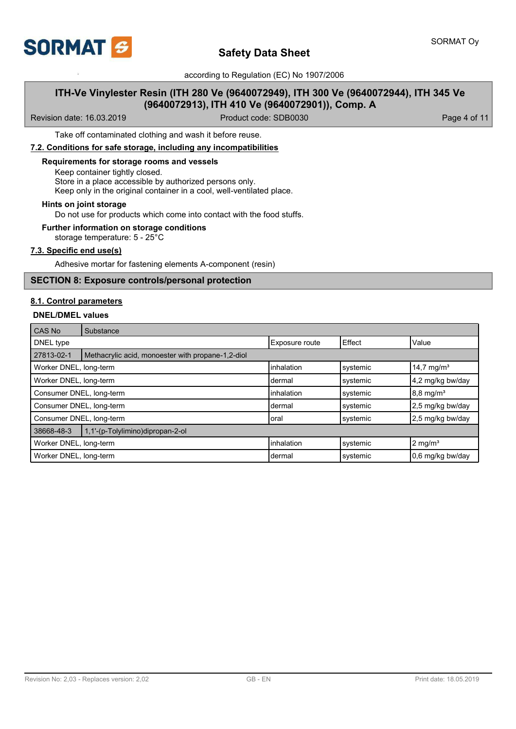

## **ITH-Ve Vinylester Resin (ITH 280 Ve (9640072949), ITH 300 Ve (9640072944), ITH 345 Ve (9640072913), ITH 410 Ve (9640072901)), Comp. A**

Revision date: 16.03.2019 **Product code: SDB0030** Page 4 of 11

Take off contaminated clothing and wash it before reuse.

### **7.2. Conditions for safe storage, including any incompatibilities**

### **Requirements for storage rooms and vessels**

Keep container tightly closed. Store in a place accessible by authorized persons only. Keep only in the original container in a cool, well-ventilated place.

## **Hints on joint storage**

Do not use for products which come into contact with the food stuffs.

### **Further information on storage conditions**

storage temperature: 5 - 25°C

### **7.3. Specific end use(s)**

Adhesive mortar for fastening elements A-component (resin)

### **SECTION 8: Exposure controls/personal protection**

### **8.1. Control parameters**

### **DNEL/DMEL values**

| l CAS No                 | Substance                                         |                |          |                        |
|--------------------------|---------------------------------------------------|----------------|----------|------------------------|
| DNEL type                |                                                   | Exposure route | Effect   | Value                  |
| 27813-02-1               | Methacrylic acid, monoester with propane-1,2-diol |                |          |                        |
| Worker DNEL, long-term   |                                                   | linhalation    | systemic | 14,7 mg/m <sup>3</sup> |
| Worker DNEL, long-term   |                                                   | Idermal        | systemic | 4,2 mg/kg bw/day       |
| Consumer DNEL, long-term |                                                   | linhalation    | systemic | $8,8 \text{ mg/m}^3$   |
| Consumer DNEL, long-term |                                                   | Idermal        | systemic | 2,5 mg/kg bw/day       |
| Consumer DNEL, long-term |                                                   | Ioral          | systemic | 2,5 mg/kg bw/day       |
| 38668-48-3               | 1,1'-(p-Tolylimino)dipropan-2-ol                  |                |          |                        |
| Worker DNEL, long-term   |                                                   | linhalation    | systemic | $2 \text{ mg/m}^3$     |
| Worker DNEL, long-term   |                                                   | Idermal        | systemic | 0,6 mg/kg bw/day       |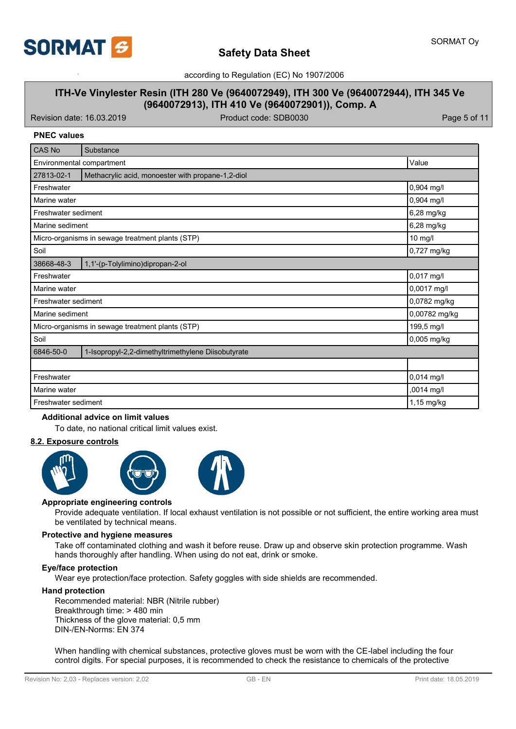

# **Safety Data Sheet**

according to Regulation (EC) No 1907/2006

## **ITH-Ve Vinylester Resin (ITH 280 Ve (9640072949), ITH 300 Ve (9640072944), ITH 345 Ve (9640072913), ITH 410 Ve (9640072901)), Comp. A**

Revision date: 16.03.2019 **Product code: SDB0030** Page 5 of 11

### **PNEC values**

| CAS No                    | Substance                                          |               |
|---------------------------|----------------------------------------------------|---------------|
| Environmental compartment |                                                    | Value         |
| 27813-02-1                | Methacrylic acid, monoester with propane-1,2-diol  |               |
| Freshwater                |                                                    | 0,904 mg/l    |
| Marine water              |                                                    | 0,904 mg/l    |
| Freshwater sediment       |                                                    | 6,28 mg/kg    |
| Marine sediment           |                                                    | 6,28 mg/kg    |
|                           | Micro-organisms in sewage treatment plants (STP)   | 10 mg/l       |
| Soil                      |                                                    | 0,727 mg/kg   |
| 38668-48-3                | 1,1'-(p-Tolylimino)dipropan-2-ol                   |               |
| Freshwater                |                                                    | 0,017 mg/l    |
| Marine water              |                                                    | 0,0017 mg/l   |
| Freshwater sediment       |                                                    | 0,0782 mg/kg  |
| Marine sediment           |                                                    | 0,00782 mg/kg |
|                           | Micro-organisms in sewage treatment plants (STP)   | 199,5 mg/l    |
| Soil                      |                                                    | 0,005 mg/kg   |
| 6846-50-0                 | 1-Isopropyl-2,2-dimethyltrimethylene Diisobutyrate |               |
|                           |                                                    |               |
| Freshwater                |                                                    | 0,014 mg/l    |
| Marine water              |                                                    | ,0014 mg/l    |
| Freshwater sediment       |                                                    | $1,15$ mg/kg  |

### **Additional advice on limit values**

To date, no national critical limit values exist.

### **8.2. Exposure controls**



#### **Appropriate engineering controls**

Provide adequate ventilation. If local exhaust ventilation is not possible or not sufficient, the entire working area must be ventilated by technical means.

### **Protective and hygiene measures**

Take off contaminated clothing and wash it before reuse. Draw up and observe skin protection programme. Wash hands thoroughly after handling. When using do not eat, drink or smoke.

#### **Eye/face protection**

Wear eye protection/face protection. Safety goggles with side shields are recommended.

### **Hand protection**

Recommended material: NBR (Nitrile rubber) Breakthrough time: > 480 min Thickness of the glove material: 0,5 mm DIN-/EN-Norms: EN 374

When handling with chemical substances, protective gloves must be worn with the CE-label including the four control digits. For special purposes, it is recommended to check the resistance to chemicals of the protective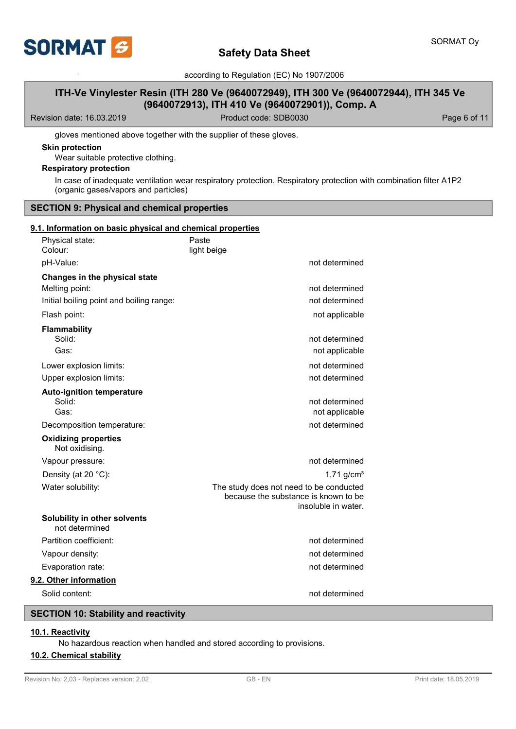

## **ITH-Ve Vinylester Resin (ITH 280 Ve (9640072949), ITH 300 Ve (9640072944), ITH 345 Ve (9640072913), ITH 410 Ve (9640072901)), Comp. A**

Revision date: 16.03.2019 **Product code: SDB0030** Page 6 of 11

gloves mentioned above together with the supplier of these gloves.

### **Skin protection**

Wear suitable protective clothing.

## **Respiratory protection**

In case of inadequate ventilation wear respiratory protection. Respiratory protection with combination filter A1P2 (organic gases/vapors and particles)

### **SECTION 9: Physical and chemical properties**

### **9.1. Information on basic physical and chemical properties**

| Physical state:<br>Colour:                     | Paste<br>light beige                                                            |                                  |
|------------------------------------------------|---------------------------------------------------------------------------------|----------------------------------|
| pH-Value:                                      |                                                                                 | not determined                   |
| Changes in the physical state                  |                                                                                 |                                  |
| Melting point:                                 |                                                                                 | not determined                   |
| Initial boiling point and boiling range:       |                                                                                 | not determined                   |
| Flash point:                                   |                                                                                 | not applicable                   |
| <b>Flammability</b><br>Solid:                  |                                                                                 | not determined                   |
| Gas:                                           |                                                                                 | not applicable                   |
| Lower explosion limits:                        |                                                                                 | not determined                   |
| Upper explosion limits:                        |                                                                                 | not determined                   |
| <b>Auto-ignition temperature</b>               |                                                                                 |                                  |
| Solid:<br>Gas:                                 |                                                                                 | not determined<br>not applicable |
| Decomposition temperature:                     |                                                                                 | not determined                   |
| <b>Oxidizing properties</b><br>Not oxidising.  |                                                                                 |                                  |
| Vapour pressure:                               |                                                                                 | not determined                   |
| Density (at 20 °C):                            |                                                                                 | 1,71 $g/cm3$                     |
| Water solubility:                              | The study does not need to be conducted<br>because the substance is known to be | insoluble in water.              |
| Solubility in other solvents<br>not determined |                                                                                 |                                  |
| Partition coefficient:                         |                                                                                 | not determined                   |
| Vapour density:                                |                                                                                 | not determined                   |
| Evaporation rate:                              |                                                                                 | not determined                   |
| 9.2. Other information                         |                                                                                 |                                  |
| Solid content:                                 |                                                                                 | not determined                   |
|                                                |                                                                                 |                                  |

## **SECTION 10: Stability and reactivity**

### **10.1. Reactivity**

No hazardous reaction when handled and stored according to provisions.

### **10.2. Chemical stability**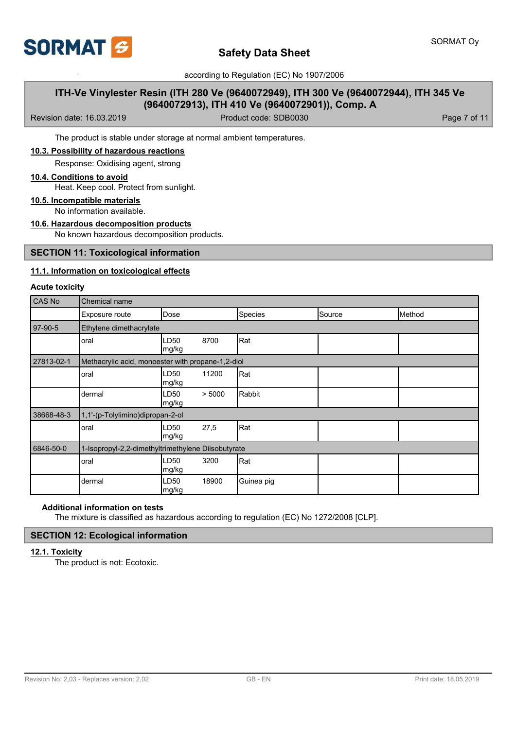

## **ITH-Ve Vinylester Resin (ITH 280 Ve (9640072949), ITH 300 Ve (9640072944), ITH 345 Ve (9640072913), ITH 410 Ve (9640072901)), Comp. A**

Revision date: 16.03.2019 **Product code: SDB0030** Page 7 of 11

The product is stable under storage at normal ambient temperatures.

**10.3. Possibility of hazardous reactions**

Response: Oxidising agent, strong

### **10.4. Conditions to avoid**

Heat. Keep cool. Protect from sunlight.

### **10.5. Incompatible materials**

No information available.

### **10.6. Hazardous decomposition products**

No known hazardous decomposition products.

### **SECTION 11: Toxicological information**

### **11.1. Information on toxicological effects**

#### **Acute toxicity**

| CAS No     | Chemical name                                      |               |        |            |        |        |  |  |
|------------|----------------------------------------------------|---------------|--------|------------|--------|--------|--|--|
|            | Exposure route                                     | Dose          |        | Species    | Source | Method |  |  |
| 97-90-5    | Ethylene dimethacrylate                            |               |        |            |        |        |  |  |
|            | oral                                               | LD50<br>mg/kg | 8700   | Rat        |        |        |  |  |
| 27813-02-1 | Methacrylic acid, monoester with propane-1,2-diol  |               |        |            |        |        |  |  |
|            | oral                                               | LD50<br>mg/kg | 11200  | Rat        |        |        |  |  |
|            | dermal                                             | LD50<br>mg/kg | > 5000 | Rabbit     |        |        |  |  |
| 38668-48-3 | 1,1'-(p-Tolylimino)dipropan-2-ol                   |               |        |            |        |        |  |  |
|            | oral                                               | LD50<br>mg/kg | 27,5   | Rat        |        |        |  |  |
| 6846-50-0  | 1-Isopropyl-2,2-dimethyltrimethylene Diisobutyrate |               |        |            |        |        |  |  |
|            | oral                                               | LD50<br>mg/kg | 3200   | Rat        |        |        |  |  |
|            | dermal                                             | LD50<br>mg/kg | 18900  | Guinea pig |        |        |  |  |

### **Additional information on tests**

The mixture is classified as hazardous according to regulation (EC) No 1272/2008 [CLP].

## **SECTION 12: Ecological information**

## **12.1. Toxicity**

The product is not: Ecotoxic.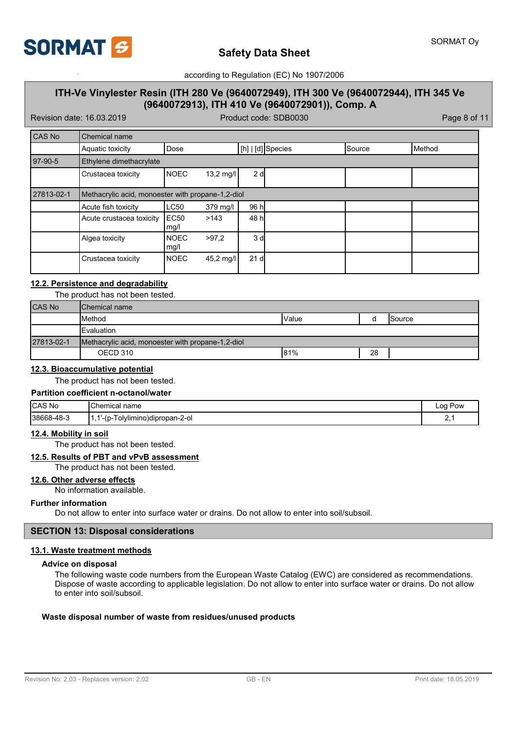

## **ITH-Ve Vinylester Resin (ITH 280 Ve (9640072949), ITH 300 Ve (9640072944), ITH 345 Ve (9640072913), ITH 410 Ve (9640072901)), Comp. A**

Revision date: 16.03.2019 **Product code: SDB0030** Product code: SDB0030

| CAS No     | <b>Chemical name</b>                              |                          |             |                 |                    |        |        |
|------------|---------------------------------------------------|--------------------------|-------------|-----------------|--------------------|--------|--------|
|            | Aquatic toxicity                                  | Dose                     |             |                 | [[h]   [d] Species | Source | Method |
| $97-90-5$  | Ethylene dimethacrylate                           |                          |             |                 |                    |        |        |
|            | Crustacea toxicity                                | <b>NOEC</b>              | $13,2$ mg/l | 2 <sub>d</sub>  |                    |        |        |
| 27813-02-1 | Methacrylic acid, monoester with propane-1,2-diol |                          |             |                 |                    |        |        |
|            | Acute fish toxicity                               | LC50                     | 379 mg/l    | 96 h            |                    |        |        |
|            | Acute crustacea toxicity                          | EC <sub>50</sub><br>mg/l | >143        | 48 hl           |                    |        |        |
|            | Algea toxicity                                    | <b>NOEC</b><br>mg/l      | >97.2       | 3 <sub>d</sub>  |                    |        |        |
|            | Crustacea toxicity                                | <b>NOEC</b>              | 45,2 mg/l   | 21 <sub>d</sub> |                    |        |        |

### **12.2. Persistence and degradability**

The product has not been tested.

| CAS No     | <b>I</b> Chemical name                            |        |    |         |
|------------|---------------------------------------------------|--------|----|---------|
|            | <b>I</b> Method                                   | IValue |    | lSource |
|            | <b>IEvaluation</b>                                |        |    |         |
| 27813-02-1 | Methacrylic acid, monoester with propane-1,2-diol |        |    |         |
|            | OECD 310                                          | 81%    | 28 |         |

### **12.3. Bioaccumulative potential**

The product has not been tested.

## **Partition coefficient n-octanol/water**

| <b>CAS No</b> | Chemical<br>name                   | Pow<br>Loa |
|---------------|------------------------------------|------------|
| 38668-48-3    | -<br>blvlimino)dipropan-2-ol<br>-w | <u>.</u>   |

#### **12.4. Mobility in soil**

The product has not been tested.

#### **12.5. Results of PBT and vPvB assessment**

The product has not been tested.

### **12.6. Other adverse effects**

No information available.

#### **Further information**

Do not allow to enter into surface water or drains. Do not allow to enter into soil/subsoil.

### **SECTION 13: Disposal considerations**

### **13.1. Waste treatment methods**

### **Advice on disposal**

The following waste code numbers from the European Waste Catalog (EWC) are considered as recommendations. Dispose of waste according to applicable legislation. Do not allow to enter into surface water or drains. Do not allow to enter into soil/subsoil.

### **Waste disposal number of waste from residues/unused products**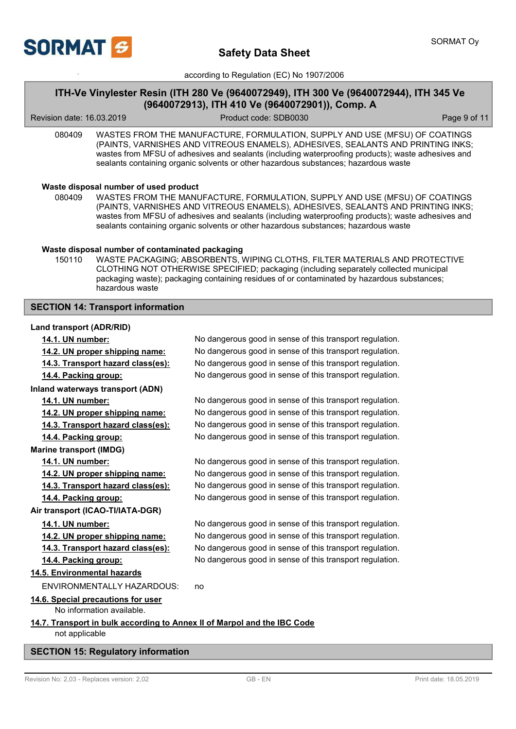

## **ITH-Ve Vinylester Resin (ITH 280 Ve (9640072949), ITH 300 Ve (9640072944), ITH 345 Ve (9640072913), ITH 410 Ve (9640072901)), Comp. A**

Revision date: 16.03.2019 Product code: SDB0030 Page 9 of 11

080409 WASTES FROM THE MANUFACTURE, FORMULATION, SUPPLY AND USE (MFSU) OF COATINGS (PAINTS, VARNISHES AND VITREOUS ENAMELS), ADHESIVES, SEALANTS AND PRINTING INKS; wastes from MFSU of adhesives and sealants (including waterproofing products); waste adhesives and sealants containing organic solvents or other hazardous substances; hazardous waste

### **Waste disposal number of used product**

WASTES FROM THE MANUFACTURE, FORMULATION, SUPPLY AND USE (MFSU) OF COATINGS (PAINTS, VARNISHES AND VITREOUS ENAMELS), ADHESIVES, SEALANTS AND PRINTING INKS; wastes from MFSU of adhesives and sealants (including waterproofing products); waste adhesives and sealants containing organic solvents or other hazardous substances; hazardous waste 080409

### **Waste disposal number of contaminated packaging**

WASTE PACKAGING; ABSORBENTS, WIPING CLOTHS, FILTER MATERIALS AND PROTECTIVE CLOTHING NOT OTHERWISE SPECIFIED; packaging (including separately collected municipal packaging waste); packaging containing residues of or contaminated by hazardous substances; hazardous waste 150110

### **SECTION 14: Transport information**

### **Land transport (ADR/RID)**

| 14.1. UN number:                                                                           | No dangerous good in sense of this transport regulation. |
|--------------------------------------------------------------------------------------------|----------------------------------------------------------|
| 14.2. UN proper shipping name:                                                             | No dangerous good in sense of this transport regulation. |
| 14.3. Transport hazard class(es):                                                          | No dangerous good in sense of this transport regulation. |
| 14.4. Packing group:                                                                       | No dangerous good in sense of this transport regulation. |
| Inland waterways transport (ADN)                                                           |                                                          |
| 14.1. UN number:                                                                           | No dangerous good in sense of this transport regulation. |
| 14.2. UN proper shipping name:                                                             | No dangerous good in sense of this transport regulation. |
| 14.3. Transport hazard class(es):                                                          | No dangerous good in sense of this transport regulation. |
| 14.4. Packing group:                                                                       | No dangerous good in sense of this transport regulation. |
| <b>Marine transport (IMDG)</b>                                                             |                                                          |
| 14.1. UN number:                                                                           | No dangerous good in sense of this transport regulation. |
| 14.2. UN proper shipping name:                                                             | No dangerous good in sense of this transport regulation. |
| 14.3. Transport hazard class(es):                                                          | No dangerous good in sense of this transport regulation. |
| 14.4. Packing group:                                                                       | No dangerous good in sense of this transport regulation. |
| Air transport (ICAO-TI/IATA-DGR)                                                           |                                                          |
| 14.1. UN number:                                                                           | No dangerous good in sense of this transport regulation. |
| 14.2. UN proper shipping name:                                                             | No dangerous good in sense of this transport regulation. |
| 14.3. Transport hazard class(es):                                                          | No dangerous good in sense of this transport regulation. |
| 14.4. Packing group:                                                                       | No dangerous good in sense of this transport regulation. |
| 14.5. Environmental hazards                                                                |                                                          |
| <b>ENVIRONMENTALLY HAZARDOUS:</b>                                                          | no                                                       |
| 14.6. Special precautions for user<br>No information available.                            |                                                          |
| 14.7. Transport in bulk according to Annex II of Marpol and the IBC Code<br>not applicable |                                                          |

### **SECTION 15: Regulatory information**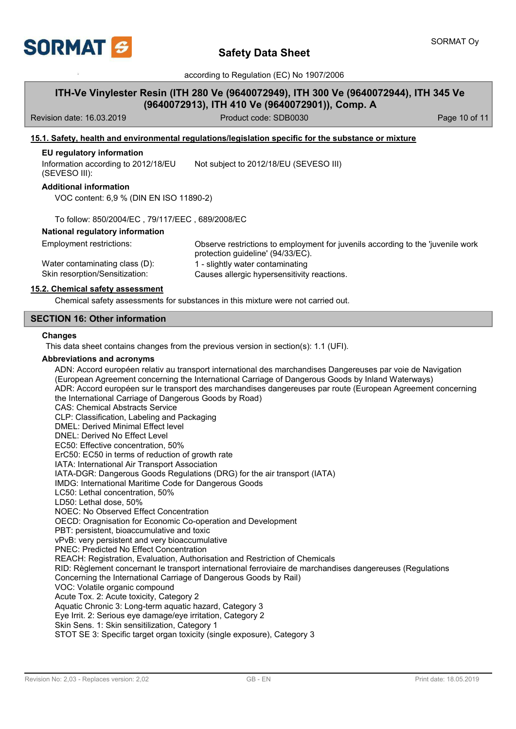

## **ITH-Ve Vinylester Resin (ITH 280 Ve (9640072949), ITH 300 Ve (9640072944), ITH 345 Ve (9640072913), ITH 410 Ve (9640072901)), Comp. A**

Revision date: 16.03.2019 **Product code: SDB0030** Page 10 of 11

### **15.1. Safety, health and environmental regulations/legislation specific for the substance or mixture**

#### **EU regulatory information**

Information according to 2012/18/EU (SEVESO III): Not subject to 2012/18/EU (SEVESO III)

# **Additional information**

VOC content: 6,9 % (DIN EN ISO 11890-2)

To follow: 850/2004/EC , 79/117/EEC , 689/2008/EC

### **National regulatory information**

Employment restrictions:

Water contaminating class (D): 1 - slightly water contaminating

Observe restrictions to employment for juvenils according to the 'juvenile work protection guideline' (94/33/EC). Skin resorption/Sensitization: Causes allergic hypersensitivity reactions.

### **15.2. Chemical safety assessment**

Chemical safety assessments for substances in this mixture were not carried out.

### **SECTION 16: Other information**

### **Changes**

This data sheet contains changes from the previous version in section(s): 1.1 (UFI).

### **Abbreviations and acronyms**

ADN: Accord européen relativ au transport international des marchandises Dangereuses par voie de Navigation (European Agreement concerning the International Carriage of Dangerous Goods by Inland Waterways) ADR: Accord européen sur le transport des marchandises dangereuses par route (European Agreement concerning the International Carriage of Dangerous Goods by Road) CAS: Chemical Abstracts Service CLP: Classification, Labeling and Packaging DMEL: Derived Minimal Effect level DNEL: Derived No Effect Level EC50: Effective concentration, 50% ErC50: EC50 in terms of reduction of growth rate IATA: International Air Transport Association IATA-DGR: Dangerous Goods Regulations (DRG) for the air transport (IATA) IMDG: International Maritime Code for Dangerous Goods LC50: Lethal concentration, 50% LD50: Lethal dose, 50% NOEC: No Observed Effect Concentration OECD: Oragnisation for Economic Co-operation and Development PBT: persistent, bioaccumulative and toxic vPvB: very persistent and very bioaccumulative PNEC: Predicted No Effect Concentration REACH: Registration, Evaluation, Authorisation and Restriction of Chemicals RID: Règlement concernant le transport international ferroviaire de marchandises dangereuses (Regulations Concerning the International Carriage of Dangerous Goods by Rail) VOC: Volatile organic compound Acute Tox. 2: Acute toxicity, Category 2 Aquatic Chronic 3: Long-term aquatic hazard, Category 3 Eye Irrit. 2: Serious eye damage/eye irritation, Category 2 Skin Sens. 1: Skin sensitilization, Category 1 STOT SE 3: Specific target organ toxicity (single exposure), Category 3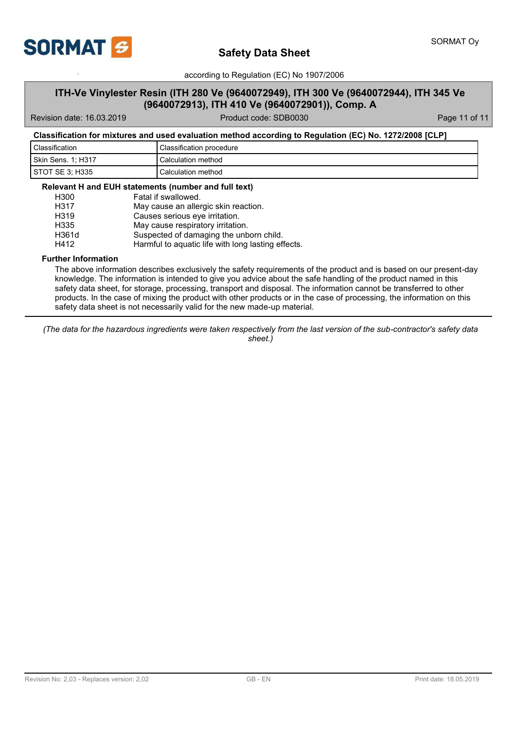

## **ITH-Ve Vinylester Resin (ITH 280 Ve (9640072949), ITH 300 Ve (9640072944), ITH 345 Ve (9640072913), ITH 410 Ve (9640072901)), Comp. A**

Revision date: 16.03.2019 Product code: SDB0030 Page 11 of 11

### **Classification for mixtures and used evaluation method according to Regulation (EC) No. 1272/2008 [CLP]**

| Classification     | Classification procedure |
|--------------------|--------------------------|
| Skin Sens. 1: H317 | Calculation method       |
| STOT SE 3: H335    | Calculation method       |

### **Relevant H and EUH statements (number and full text)**

| H <sub>300</sub> | Fatal if swallowed.                                |
|------------------|----------------------------------------------------|
| H317             | May cause an allergic skin reaction.               |
| H <sub>319</sub> | Causes serious eye irritation.                     |
| H335             | May cause respiratory irritation.                  |
| H361d            | Suspected of damaging the unborn child.            |
| H412             | Harmful to aquatic life with long lasting effects. |

### **Further Information**

The above information describes exclusively the safety requirements of the product and is based on our present-day knowledge. The information is intended to give you advice about the safe handling of the product named in this safety data sheet, for storage, processing, transport and disposal. The information cannot be transferred to other products. In the case of mixing the product with other products or in the case of processing, the information on this safety data sheet is not necessarily valid for the new made-up material.

*(The data for the hazardous ingredients were taken respectively from the last version of the sub-contractor's safety data sheet.)*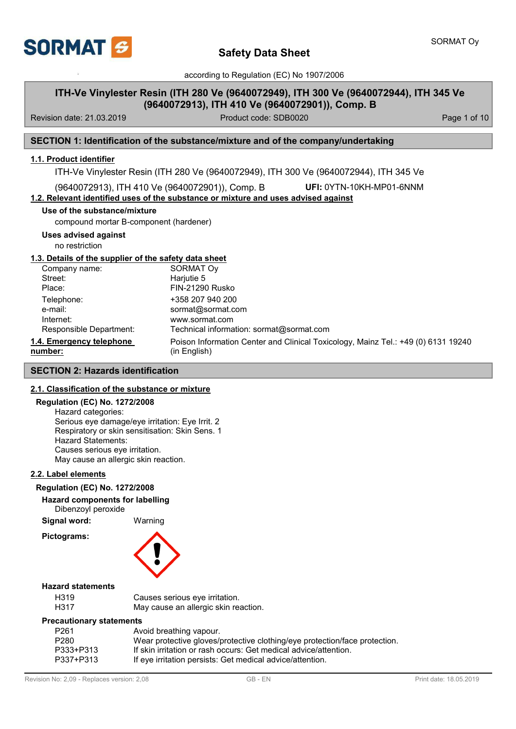

## **ITH-Ve Vinylester Resin (ITH 280 Ve (9640072949), ITH 300 Ve (9640072944), ITH 345 Ve (9640072913), ITH 410 Ve (9640072901)), Comp. B**

Revision date: 21.03.2019 **Product code: SDB0020** Product code: SDB0020

### **SECTION 1: Identification of the substance/mixture and of the company/undertaking**

### **1.1. Product identifier**

ITH-Ve Vinylester Resin (ITH 280 Ve (9640072949), ITH 300 Ve (9640072944), ITH 345 Ve

(9640072913), ITH 410 Ve (9640072901)), Comp. B **UFI:** 0YTN-10KH-MP01-6NNM

### **1.2. Relevant identified uses of the substance or mixture and uses advised against**

### **Use of the substance/mixture**

compound mortar B-component (hardener)

**Uses advised against**

no restriction

### **1.3. Details of the supplier of the safety data sheet**

| Company name:            | SORMAT Oy                                                                         |
|--------------------------|-----------------------------------------------------------------------------------|
| Street:                  | Harjutie 5                                                                        |
| Place:                   | <b>FIN-21290 Rusko</b>                                                            |
| Telephone:               | +358 207 940 200                                                                  |
| e-mail:                  | sormat@sormat.com                                                                 |
| Internet:                | www.sormat.com                                                                    |
| Responsible Department:  | Technical information: sormat@sormat.com                                          |
| 1.4. Emergency telephone | Poison Information Center and Clinical Toxicology, Mainz Tel.: +49 (0) 6131 19240 |
| number:                  | (in English)                                                                      |

### **SECTION 2: Hazards identification**

### **2.1. Classification of the substance or mixture**

### **Regulation (EC) No. 1272/2008**

Hazard categories: Serious eye damage/eye irritation: Eye Irrit. 2 Respiratory or skin sensitisation: Skin Sens. 1 Hazard Statements: Causes serious eye irritation. May cause an allergic skin reaction.

### **2.2. Label elements**

#### **Regulation (EC) No. 1272/2008**

### **Hazard components for labelling**

Dibenzoyl peroxide

**Signal word:** Warning **Pictograms:**



### **Hazard statements**

| H319 | Causes serious eye irritation.       |
|------|--------------------------------------|
| H317 | May cause an allergic skin reaction. |

### **Precautionary statements**

| P261      | Avoid breathing vapour.                                                    |
|-----------|----------------------------------------------------------------------------|
| P280      | Wear protective gloves/protective clothing/eye protection/face protection. |
| P333+P313 | If skin irritation or rash occurs: Get medical advice/attention.           |
| P337+P313 | If eye irritation persists: Get medical advice/attention.                  |
|           |                                                                            |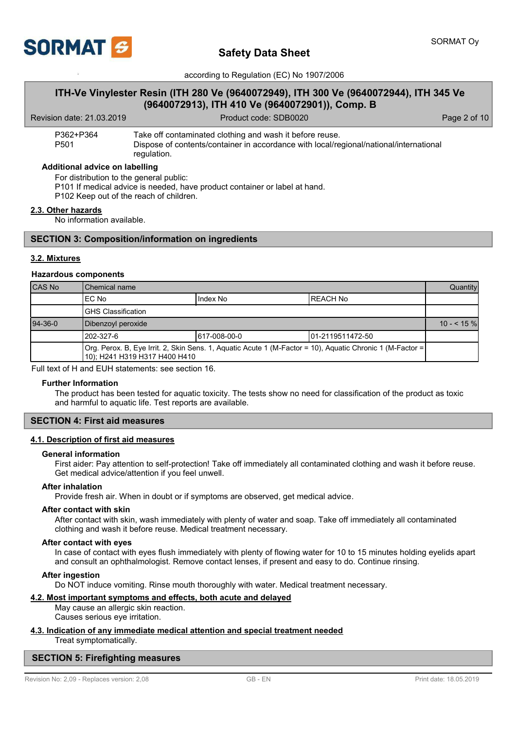

## **ITH-Ve Vinylester Resin (ITH 280 Ve (9640072949), ITH 300 Ve (9640072944), ITH 345 Ve (9640072913), ITH 410 Ve (9640072901)), Comp. B**

Revision date: 21.03.2019 **Product code: SDB0020** Product code: SDB0020

| P362+P364 | Take off contaminated clothing and wash it before reuse.                                              |
|-----------|-------------------------------------------------------------------------------------------------------|
| P501      | Dispose of contents/container in accordance with local/regional/national/international<br>regulation. |

#### **Additional advice on labelling**

For distribution to the general public:

P101 If medical advice is needed, have product container or label at hand.

P102 Keep out of the reach of children.

#### **2.3. Other hazards**

No information available.

### **SECTION 3: Composition/information on ingredients**

### **3.2. Mixtures**

#### **Hazardous components**

| CAS No    | Chemical name                                                                                                                                |  | Quantity |            |
|-----------|----------------------------------------------------------------------------------------------------------------------------------------------|--|----------|------------|
|           | IEC No<br>Index No<br>IREACH No                                                                                                              |  |          |            |
|           | IGHS Classification                                                                                                                          |  |          |            |
| $94-36-0$ | Dibenzoyl peroxide                                                                                                                           |  |          | $10 - 5\%$ |
|           | 1202-327-6<br>617-008-00-0<br>101-2119511472-50                                                                                              |  |          |            |
|           | Org. Perox. B, Eye Irrit. 2, Skin Sens. 1, Aquatic Acute 1 (M-Factor = 10), Aquatic Chronic 1 (M-Factor =  <br>10); H241 H319 H317 H400 H410 |  |          |            |

Full text of H and EUH statements: see section 16.

#### **Further Information**

The product has been tested for aquatic toxicity. The tests show no need for classification of the product as toxic and harmful to aquatic life. Test reports are available.

### **SECTION 4: First aid measures**

### **4.1. Description of first aid measures**

#### **General information**

First aider: Pay attention to self-protection! Take off immediately all contaminated clothing and wash it before reuse. Get medical advice/attention if you feel unwell.

### **After inhalation**

Provide fresh air. When in doubt or if symptoms are observed, get medical advice.

### **After contact with skin**

After contact with skin, wash immediately with plenty of water and soap. Take off immediately all contaminated clothing and wash it before reuse. Medical treatment necessary.

#### **After contact with eyes**

In case of contact with eyes flush immediately with plenty of flowing water for 10 to 15 minutes holding eyelids apart and consult an ophthalmologist. Remove contact lenses, if present and easy to do. Continue rinsing.

#### **After ingestion**

Do NOT induce vomiting. Rinse mouth thoroughly with water. Medical treatment necessary.

#### **4.2. Most important symptoms and effects, both acute and delayed**

May cause an allergic skin reaction. Causes serious eye irritation.

#### **4.3. Indication of any immediate medical attention and special treatment needed** Treat symptomatically.

### **SECTION 5: Firefighting measures**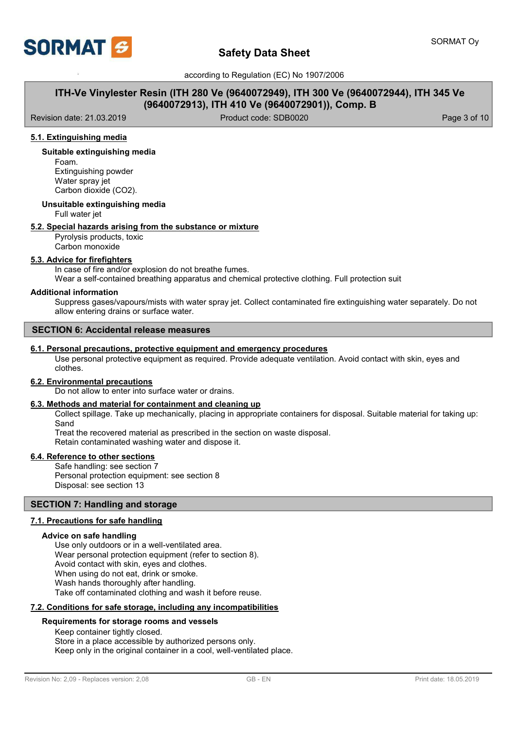

## **ITH-Ve Vinylester Resin (ITH 280 Ve (9640072949), ITH 300 Ve (9640072944), ITH 345 Ve (9640072913), ITH 410 Ve (9640072901)), Comp. B**

Revision date: 21.03.2019 **Product code: SDB0020** Product code: SDB0020 **Page 3 of 10** 

### **5.1. Extinguishing media**

### **Suitable extinguishing media**

Foam. Extinguishing powder Water spray jet Carbon dioxide (CO2).

#### **Unsuitable extinguishing media**

Full water jet

### **5.2. Special hazards arising from the substance or mixture**

Pyrolysis products, toxic Carbon monoxide

# **5.3. Advice for firefighters**

In case of fire and/or explosion do not breathe fumes.

Wear a self-contained breathing apparatus and chemical protective clothing. Full protection suit

### **Additional information**

Suppress gases/vapours/mists with water spray jet. Collect contaminated fire extinguishing water separately. Do not allow entering drains or surface water.

### **SECTION 6: Accidental release measures**

### **6.1. Personal precautions, protective equipment and emergency procedures**

Use personal protective equipment as required. Provide adequate ventilation. Avoid contact with skin, eyes and clothes.

#### **6.2. Environmental precautions**

Do not allow to enter into surface water or drains.

### **6.3. Methods and material for containment and cleaning up**

Collect spillage. Take up mechanically, placing in appropriate containers for disposal. Suitable material for taking up: Sand

Treat the recovered material as prescribed in the section on waste disposal. Retain contaminated washing water and dispose it.

### **6.4. Reference to other sections**

Safe handling: see section 7 Personal protection equipment: see section 8 Disposal: see section 13

### **SECTION 7: Handling and storage**

### **7.1. Precautions for safe handling**

### **Advice on safe handling**

Use only outdoors or in a well-ventilated area. Wear personal protection equipment (refer to section 8). Avoid contact with skin, eyes and clothes. When using do not eat, drink or smoke. Wash hands thoroughly after handling. Take off contaminated clothing and wash it before reuse.

### **7.2. Conditions for safe storage, including any incompatibilities**

### **Requirements for storage rooms and vessels**

Keep container tightly closed. Store in a place accessible by authorized persons only. Keep only in the original container in a cool, well-ventilated place.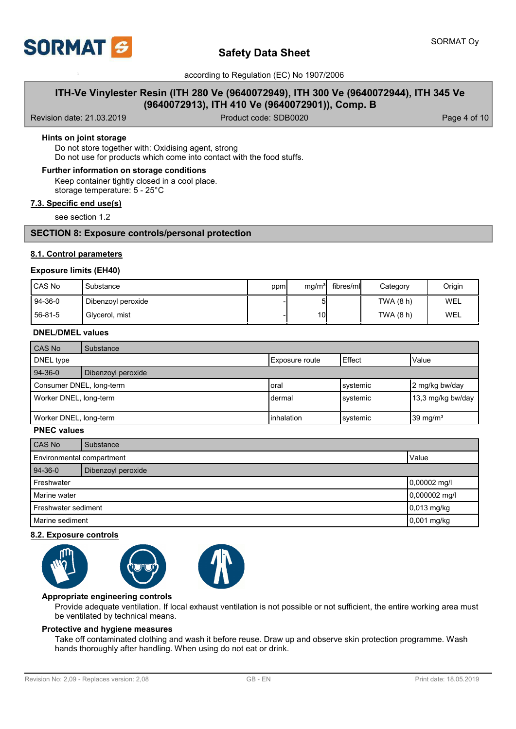

## **ITH-Ve Vinylester Resin (ITH 280 Ve (9640072949), ITH 300 Ve (9640072944), ITH 345 Ve (9640072913), ITH 410 Ve (9640072901)), Comp. B**

Revision date: 21.03.2019 **Product code: SDB0020** Product code: SDB0020

### **Hints on joint storage**

Do not store together with: Oxidising agent, strong Do not use for products which come into contact with the food stuffs.

### **Further information on storage conditions**

Keep container tightly closed in a cool place. storage temperature: 5 - 25°C

### **7.3. Specific end use(s)**

see section 1.2

### **SECTION 8: Exposure controls/personal protection**

### **8.1. Control parameters**

### **Exposure limits (EH40)**

| l CAS No | Substance          | ppm | mg/m <sup>3</sup> | fibres/ml | Category  | Origin |
|----------|--------------------|-----|-------------------|-----------|-----------|--------|
| 94-36-0  | Dibenzoyl peroxide |     | ы                 |           | TWA (8 h) | WEL    |
| 56-81-5  | Glycerol, mist     |     | 10I               |           | TWA (8 h) | WEL    |

#### **DNEL/DMEL values**

| l CAS No                 | Substance          |                |          |                   |
|--------------------------|--------------------|----------------|----------|-------------------|
| DNEL type                |                    | Exposure route | l Effect | Value             |
| $94-36-0$                | Dibenzoyl peroxide |                |          |                   |
| Consumer DNEL, long-term |                    | Ioral          | systemic | 2 mg/kg bw/day    |
| Worker DNEL, long-term   |                    | Idermal        | systemic | 13,3 mg/kg bw/day |
| Worker DNEL, long-term   |                    | inhalation     | systemic | 39 mg/ $m3$       |

### **PNEC values**

| CAS No                        | Substance                          |             |
|-------------------------------|------------------------------------|-------------|
|                               | Environmental compartment<br>Value |             |
| $94-36-0$                     | Dibenzoyl peroxide                 |             |
| Freshwater<br>$0,00002$ mg/l  |                                    |             |
| 0,000002 mg/l<br>Marine water |                                    |             |
| <b>I</b> Freshwater sediment  |                                    | 0,013 mg/kg |
|                               | $0,001$ mg/kg<br>Marine sediment   |             |

### **8.2. Exposure controls**



### **Appropriate engineering controls**

Provide adequate ventilation. If local exhaust ventilation is not possible or not sufficient, the entire working area must be ventilated by technical means.

### **Protective and hygiene measures**

Take off contaminated clothing and wash it before reuse. Draw up and observe skin protection programme. Wash hands thoroughly after handling. When using do not eat or drink.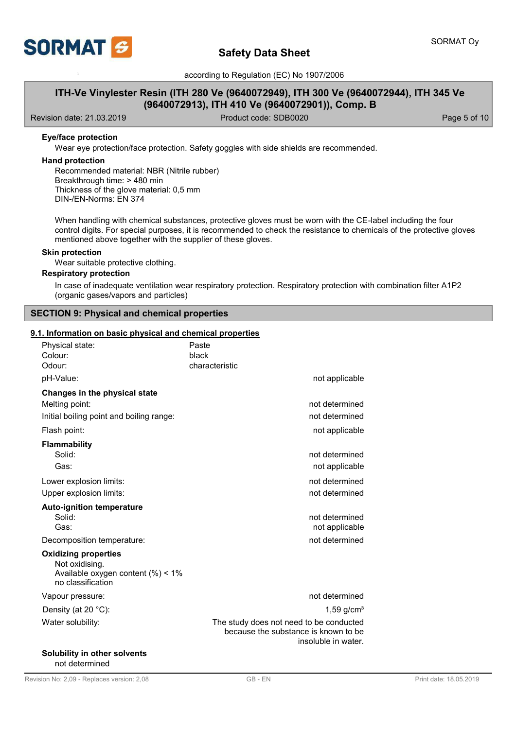

## **ITH-Ve Vinylester Resin (ITH 280 Ve (9640072949), ITH 300 Ve (9640072944), ITH 345 Ve (9640072913), ITH 410 Ve (9640072901)), Comp. B**

Revision date: 21.03.2019 **Product code: SDB0020** Product code: SDB0020

### **Eye/face protection**

Wear eye protection/face protection. Safety goggles with side shields are recommended.

### **Hand protection**

Recommended material: NBR (Nitrile rubber) Breakthrough time: > 480 min Thickness of the glove material: 0,5 mm DIN-/EN-Norms: EN 374

When handling with chemical substances, protective gloves must be worn with the CE-label including the four control digits. For special purposes, it is recommended to check the resistance to chemicals of the protective gloves mentioned above together with the supplier of these gloves.

### **Skin protection**

Wear suitable protective clothing.

### **Respiratory protection**

In case of inadequate ventilation wear respiratory protection. Respiratory protection with combination filter A1P2 (organic gases/vapors and particles)

### **SECTION 9: Physical and chemical properties**

### **9.1. Information on basic physical and chemical properties**

| Physical state:<br>Colour:<br>Odour:                     | Paste<br>black<br>characteristic                                                                       |
|----------------------------------------------------------|--------------------------------------------------------------------------------------------------------|
| pH-Value:                                                | not applicable                                                                                         |
| Changes in the physical state                            |                                                                                                        |
| Melting point:                                           | not determined                                                                                         |
| Initial boiling point and boiling range:                 | not determined                                                                                         |
| Flash point:                                             | not applicable                                                                                         |
| Flammability                                             |                                                                                                        |
| Solid:                                                   | not determined                                                                                         |
| Gas:                                                     | not applicable                                                                                         |
| Lower explosion limits:                                  | not determined                                                                                         |
| Upper explosion limits:                                  | not determined                                                                                         |
| <b>Auto-ignition temperature</b>                         |                                                                                                        |
| Solid:                                                   | not determined                                                                                         |
| Gas:                                                     | not applicable                                                                                         |
| Decomposition temperature:                               | not determined                                                                                         |
| <b>Oxidizing properties</b><br>Not oxidising.            |                                                                                                        |
| Available oxygen content $(\%)<1\%$<br>no classification |                                                                                                        |
| Vapour pressure:                                         | not determined                                                                                         |
| Density (at 20 °C):                                      | 1,59 $g/cm3$                                                                                           |
| Water solubility:                                        | The study does not need to be conducted<br>because the substance is known to be<br>insoluble in water. |
| <b>Solubility in other solvents</b>                      |                                                                                                        |

not determined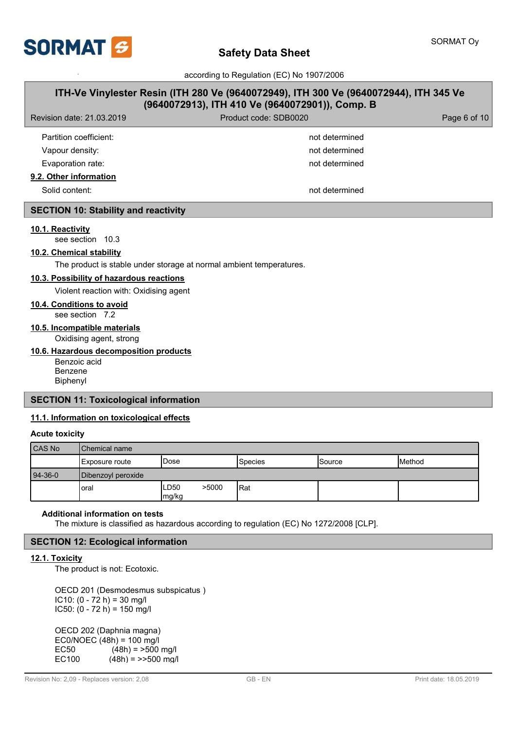

# **Safety Data Sheet**

according to Regulation (EC) No 1907/2006

# **ITH-Ve Vinylester Resin (ITH 280 Ve (9640072949), ITH 300 Ve (9640072944), ITH 345 Ve (9640072913), ITH 410 Ve (9640072901)), Comp. B**

| Revision date: 21.03.2019 | Product code: SDB0020 | Page 6 of 10 |
|---------------------------|-----------------------|--------------|
| Partition coefficient:    | not determined        |              |
| Vapour density:           | not determined        |              |
| Evaporation rate:         | not determined        |              |
| 9.2. Other information    |                       |              |

Solid content: not determined

### **SECTION 10: Stability and reactivity**

### **10.1. Reactivity**

see section 10.3

### **10.2. Chemical stability**

The product is stable under storage at normal ambient temperatures.

### **10.3. Possibility of hazardous reactions**

Violent reaction with: Oxidising agent

### **10.4. Conditions to avoid**

see section 7.2

### **10.5. Incompatible materials**

Oxidising agent, strong

### **10.6. Hazardous decomposition products**

Benzoic acid Benzene Biphenyl

### **SECTION 11: Toxicological information**

### **11.1. Information on toxicological effects**

#### **Acute toxicity**

| CAS No    | l Chemical name    |                        |                 |        |        |  |
|-----------|--------------------|------------------------|-----------------|--------|--------|--|
|           | Exposure route     | <b>Dose</b>            | <b>S</b> pecies | Source | Method |  |
| $94-36-0$ | Dibenzoyl peroxide |                        |                 |        |        |  |
|           | loral              | >5000<br>∟D50<br>mg/kg | lRat            |        |        |  |

### **Additional information on tests**

The mixture is classified as hazardous according to regulation (EC) No 1272/2008 [CLP].

## **SECTION 12: Ecological information**

## **12.1. Toxicity**

The product is not: Ecotoxic.

OECD 201 (Desmodesmus subspicatus )  $IC10: (0 - 72 h) = 30 mg/l$  $IC50: (0 - 72 h) = 150 mg/l$ 

OECD 202 (Daphnia magna) EC0/NOEC  $(48h) = 100$  mg/l<br>EC50  $(48h) = >500$ EC50  $(48h) = 500$  mg/l<br>EC100  $(48h) = 500$  mg/  $(48h) = \frac{500 \text{ mg}}{h}$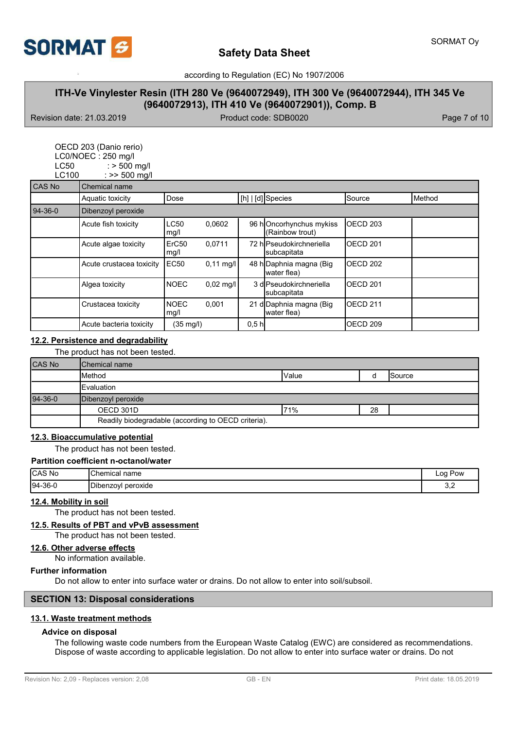

## **ITH-Ve Vinylester Resin (ITH 280 Ve (9640072949), ITH 300 Ve (9640072944), ITH 345 Ve (9640072913), ITH 410 Ve (9640072901)), Comp. B**

Revision date: 21.03.2019 **Product code: SDB0020** Page 7 of 10

| LC50<br>LC100 | OECD 203 (Danio rerio)<br>LC0/NOEC: 250 mg/l<br>$:$ > 500 mg/l<br>: $>> 500$ mg/l |                           |                     |                  |                                            |                     |        |
|---------------|-----------------------------------------------------------------------------------|---------------------------|---------------------|------------------|--------------------------------------------|---------------------|--------|
| CAS No        | Chemical name                                                                     |                           |                     |                  |                                            |                     |        |
|               | Aquatic toxicity                                                                  | Dose                      |                     |                  | [h]   [d] Species                          | Source              | Method |
| $94-36-0$     | Dibenzoyl peroxide                                                                |                           |                     |                  |                                            |                     |        |
|               | Acute fish toxicity                                                               | <b>LC50</b><br>mg/l       | 0,0602              |                  | 96 hOncorhynchus mykiss<br>(Rainbow trout) | OECD <sub>203</sub> |        |
|               | Acute algae toxicity                                                              | ErC <sub>50</sub><br>mg/l | 0,0711              |                  | 72 hlPseudokirchneriella<br>subcapitata    | OECD <sub>201</sub> |        |
|               | Acute crustacea toxicity                                                          | <b>EC50</b>               | $0,11 \text{ mq/l}$ |                  | 48 h Daphnia magna (Big<br>water flea)     | OECD <sub>202</sub> |        |
|               | Algea toxicity                                                                    | <b>NOEC</b>               | $0.02$ mg/l         |                  | 3 dlPseudokirchneriella<br>subcapitata     | OECD <sub>201</sub> |        |
|               | Crustacea toxicity                                                                | <b>NOEC</b><br>mg/l       | 0,001               |                  | 21 d Daphnia magna (Big<br>water flea)     | OECD <sub>211</sub> |        |
|               | Acute bacteria toxicity                                                           | $(35 \text{ mg/l})$       |                     | 0.5 <sub>h</sub> |                                            | OECD 209            |        |

### **12.2. Persistence and degradability**

The product has not been tested.

| <b>CAS No</b> | <b>IChemical name</b>                               |        |    |         |
|---------------|-----------------------------------------------------|--------|----|---------|
|               | <b>I</b> Method                                     | lValue |    | ISource |
|               | <b>IEvaluation</b>                                  |        |    |         |
| 94-36-0       | Dibenzoyl peroxide                                  |        |    |         |
|               | OECD 301D                                           | 71%    | 28 |         |
|               | Readily biodegradable (according to OECD criteria). |        |    |         |

#### **12.3. Bioaccumulative potential**

The product has not been tested.

### **Partition coefficient n-octanol/water**

| <b>CAS No</b> | <b>Chemical name</b>    | Pow<br>Loa              |
|---------------|-------------------------|-------------------------|
| 94-36-0       | peroxide<br>∴ Dibenzoyi | $\mathsf{v},\mathsf{z}$ |

#### **12.4. Mobility in soil**

The product has not been tested.

### **12.5. Results of PBT and vPvB assessment**

The product has not been tested.

#### **12.6. Other adverse effects**

No information available.

#### **Further information**

Do not allow to enter into surface water or drains. Do not allow to enter into soil/subsoil.

### **SECTION 13: Disposal considerations**

### **13.1. Waste treatment methods**

### **Advice on disposal**

The following waste code numbers from the European Waste Catalog (EWC) are considered as recommendations. Dispose of waste according to applicable legislation. Do not allow to enter into surface water or drains. Do not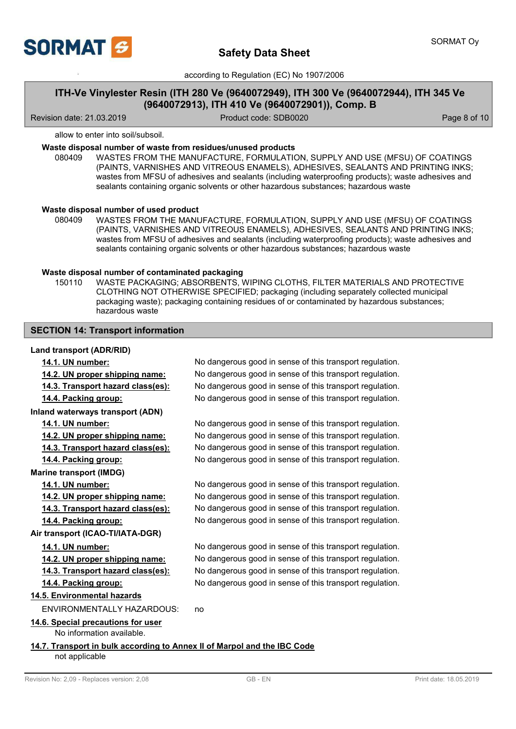

## **ITH-Ve Vinylester Resin (ITH 280 Ve (9640072949), ITH 300 Ve (9640072944), ITH 345 Ve (9640072913), ITH 410 Ve (9640072901)), Comp. B**

Revision date: 21.03.2019 **Product code: SDB0020** Product code: SDB0020

allow to enter into soil/subsoil.

### **Waste disposal number of waste from residues/unused products**

080409 WASTES FROM THE MANUFACTURE, FORMULATION, SUPPLY AND USE (MFSU) OF COATINGS (PAINTS, VARNISHES AND VITREOUS ENAMELS), ADHESIVES, SEALANTS AND PRINTING INKS; wastes from MFSU of adhesives and sealants (including waterproofing products); waste adhesives and sealants containing organic solvents or other hazardous substances; hazardous waste

#### **Waste disposal number of used product**

WASTES FROM THE MANUFACTURE, FORMULATION, SUPPLY AND USE (MFSU) OF COATINGS (PAINTS, VARNISHES AND VITREOUS ENAMELS), ADHESIVES, SEALANTS AND PRINTING INKS; wastes from MFSU of adhesives and sealants (including waterproofing products); waste adhesives and sealants containing organic solvents or other hazardous substances; hazardous waste 080409

### **Waste disposal number of contaminated packaging**

WASTE PACKAGING; ABSORBENTS, WIPING CLOTHS, FILTER MATERIALS AND PROTECTIVE CLOTHING NOT OTHERWISE SPECIFIED; packaging (including separately collected municipal packaging waste); packaging containing residues of or contaminated by hazardous substances; hazardous waste 150110

### **SECTION 14: Transport information**

### **Land transport (ADR/RID)**

| 14.1. UN number:                                                                           | No dangerous good in sense of this transport regulation. |
|--------------------------------------------------------------------------------------------|----------------------------------------------------------|
| 14.2. UN proper shipping name:                                                             | No dangerous good in sense of this transport regulation. |
| <u>14.3. Transport hazard class(es):</u>                                                   | No dangerous good in sense of this transport regulation. |
| 14.4. Packing group:                                                                       | No dangerous good in sense of this transport regulation. |
| Inland waterways transport (ADN)                                                           |                                                          |
| 14.1. UN number:                                                                           | No dangerous good in sense of this transport regulation. |
| 14.2. UN proper shipping name:                                                             | No dangerous good in sense of this transport regulation. |
| 14.3. Transport hazard class(es):                                                          | No dangerous good in sense of this transport regulation. |
| 14.4. Packing group:                                                                       | No dangerous good in sense of this transport regulation. |
| <b>Marine transport (IMDG)</b>                                                             |                                                          |
| 14.1. UN number:                                                                           | No dangerous good in sense of this transport regulation. |
| 14.2. UN proper shipping name:                                                             | No dangerous good in sense of this transport regulation. |
| 14.3. Transport hazard class(es):                                                          | No dangerous good in sense of this transport regulation. |
| 14.4. Packing group:                                                                       | No dangerous good in sense of this transport regulation. |
| Air transport (ICAO-TI/IATA-DGR)                                                           |                                                          |
| 14.1. UN number:                                                                           | No dangerous good in sense of this transport regulation. |
| 14.2. UN proper shipping name:                                                             | No dangerous good in sense of this transport regulation. |
| 14.3. Transport hazard class(es):                                                          | No dangerous good in sense of this transport regulation. |
| 14.4. Packing group:                                                                       | No dangerous good in sense of this transport regulation. |
| 14.5. Environmental hazards                                                                |                                                          |
| ENVIRONMENTALLY HAZARDOUS:                                                                 | no                                                       |
| 14.6. Special precautions for user<br>No information available.                            |                                                          |
| 14.7. Transport in bulk according to Annex II of Marpol and the IBC Code<br>not applicable |                                                          |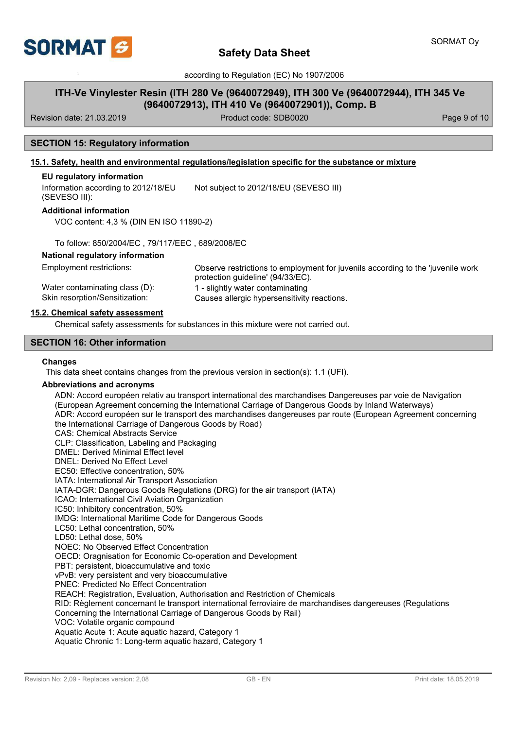

# **Safety Data Sheet**

according to Regulation (EC) No 1907/2006

## **ITH-Ve Vinylester Resin (ITH 280 Ve (9640072949), ITH 300 Ve (9640072944), ITH 345 Ve (9640072913), ITH 410 Ve (9640072901)), Comp. B**

Revision date: 21.03.2019 **Product code: SDB0020** Product code: SDB0020

### **SECTION 15: Regulatory information**

### **15.1. Safety, health and environmental regulations/legislation specific for the substance or mixture**

### **EU regulatory information**

Information according to 2012/18/EU (SEVESO III): Not subject to 2012/18/EU (SEVESO III)

### **Additional information**

VOC content: 4,3 % (DIN EN ISO 11890-2)

To follow: 850/2004/EC , 79/117/EEC , 689/2008/EC

### **National regulatory information**

Observe restrictions to employment for juvenils according to the 'juvenile work protection guideline' (94/33/EC). Employment restrictions: Water contaminating class (D): 1 - slightly water contaminating Skin resorption/Sensitization: Causes allergic hypersensitivity reactions.

### **15.2. Chemical safety assessment**

Chemical safety assessments for substances in this mixture were not carried out.

### **SECTION 16: Other information**

#### **Changes**

This data sheet contains changes from the previous version in section(s): 1.1 (UFI).

### **Abbreviations and acronyms**

ADN: Accord européen relativ au transport international des marchandises Dangereuses par voie de Navigation (European Agreement concerning the International Carriage of Dangerous Goods by Inland Waterways) ADR: Accord européen sur le transport des marchandises dangereuses par route (European Agreement concerning the International Carriage of Dangerous Goods by Road) CAS: Chemical Abstracts Service CLP: Classification, Labeling and Packaging DMEL: Derived Minimal Effect level DNEL: Derived No Effect Level EC50: Effective concentration, 50% IATA: International Air Transport Association IATA-DGR: Dangerous Goods Regulations (DRG) for the air transport (IATA) ICAO: International Civil Aviation Organization IC50: Inhibitory concentration, 50% IMDG: International Maritime Code for Dangerous Goods LC50: Lethal concentration, 50% LD50: Lethal dose, 50% NOEC: No Observed Effect Concentration OECD: Oragnisation for Economic Co-operation and Development PBT: persistent, bioaccumulative and toxic vPvB: very persistent and very bioaccumulative PNEC: Predicted No Effect Concentration REACH: Registration, Evaluation, Authorisation and Restriction of Chemicals RID: Règlement concernant le transport international ferroviaire de marchandises dangereuses (Regulations Concerning the International Carriage of Dangerous Goods by Rail) VOC: Volatile organic compound Aquatic Acute 1: Acute aquatic hazard, Category 1 Aquatic Chronic 1: Long-term aquatic hazard, Category 1